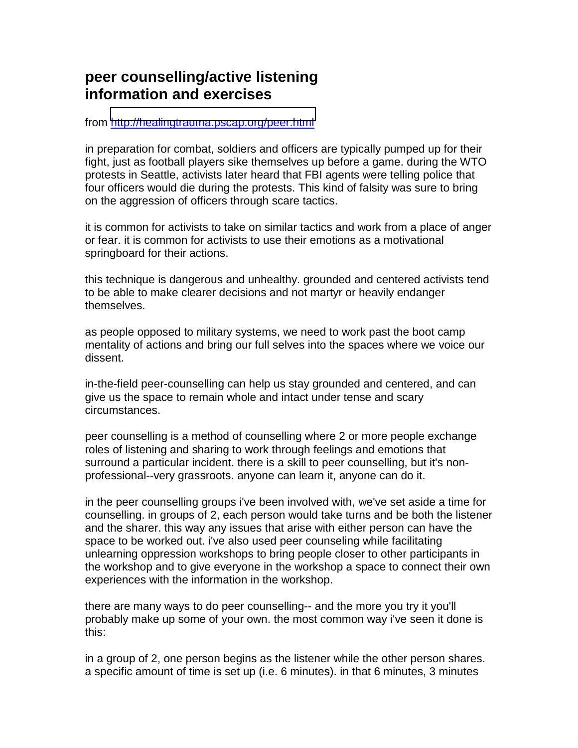# **peer counselling/active listening information and exercises**

from<http://healingtrauma.pscap.org/peer.html>

in preparation for combat, soldiers and officers are typically pumped up for their fight, just as football players sike themselves up before a game. during the WTO protests in Seattle, activists later heard that FBI agents were telling police that four officers would die during the protests. This kind of falsity was sure to bring on the aggression of officers through scare tactics.

it is common for activists to take on similar tactics and work from a place of anger or fear. it is common for activists to use their emotions as a motivational springboard for their actions.

this technique is dangerous and unhealthy. grounded and centered activists tend to be able to make clearer decisions and not martyr or heavily endanger themselves.

as people opposed to military systems, we need to work past the boot camp mentality of actions and bring our full selves into the spaces where we voice our dissent.

in-the-field peer-counselling can help us stay grounded and centered, and can give us the space to remain whole and intact under tense and scary circumstances.

peer counselling is a method of counselling where 2 or more people exchange roles of listening and sharing to work through feelings and emotions that surround a particular incident. there is a skill to peer counselling, but it's nonprofessional--very grassroots. anyone can learn it, anyone can do it.

in the peer counselling groups i've been involved with, we've set aside a time for counselling. in groups of 2, each person would take turns and be both the listener and the sharer. this way any issues that arise with either person can have the space to be worked out. i've also used peer counseling while facilitating unlearning oppression workshops to bring people closer to other participants in the workshop and to give everyone in the workshop a space to connect their own experiences with the information in the workshop.

there are many ways to do peer counselling-- and the more you try it you'll probably make up some of your own. the most common way i've seen it done is this:

in a group of 2, one person begins as the listener while the other person shares. a specific amount of time is set up (i.e. 6 minutes). in that 6 minutes, 3 minutes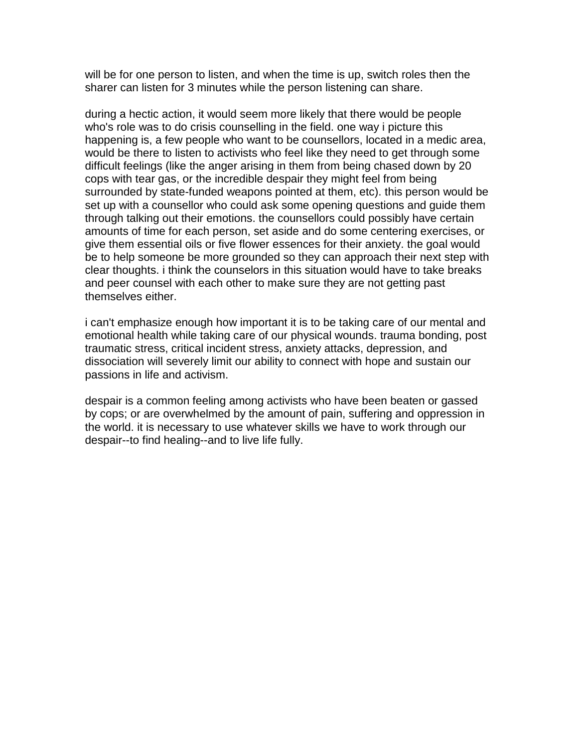will be for one person to listen, and when the time is up, switch roles then the sharer can listen for 3 minutes while the person listening can share.

during a hectic action, it would seem more likely that there would be people who's role was to do crisis counselling in the field. one way i picture this happening is, a few people who want to be counsellors, located in a medic area, would be there to listen to activists who feel like they need to get through some difficult feelings (like the anger arising in them from being chased down by 20 cops with tear gas, or the incredible despair they might feel from being surrounded by state-funded weapons pointed at them, etc). this person would be set up with a counsellor who could ask some opening questions and guide them through talking out their emotions. the counsellors could possibly have certain amounts of time for each person, set aside and do some centering exercises, or give them essential oils or five flower essences for their anxiety. the goal would be to help someone be more grounded so they can approach their next step with clear thoughts. i think the counselors in this situation would have to take breaks and peer counsel with each other to make sure they are not getting past themselves either.

i can't emphasize enough how important it is to be taking care of our mental and emotional health while taking care of our physical wounds. trauma bonding, post traumatic stress, critical incident stress, anxiety attacks, depression, and dissociation will severely limit our ability to connect with hope and sustain our passions in life and activism.

despair is a common feeling among activists who have been beaten or gassed by cops; or are overwhelmed by the amount of pain, suffering and oppression in the world. it is necessary to use whatever skills we have to work through our despair--to find healing--and to live life fully.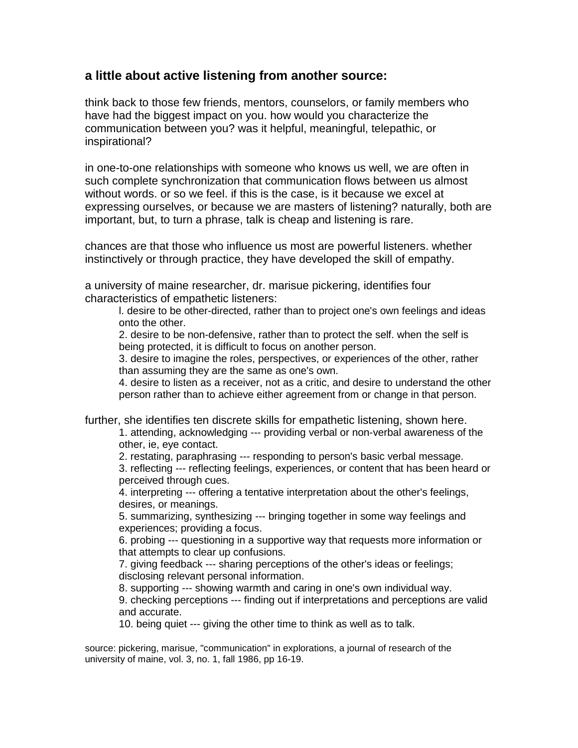### **a little about active listening from another source:**

think back to those few friends, mentors, counselors, or family members who have had the biggest impact on you. how would you characterize the communication between you? was it helpful, meaningful, telepathic, or inspirational?

in one-to-one relationships with someone who knows us well, we are often in such complete synchronization that communication flows between us almost without words. or so we feel. if this is the case, is it because we excel at expressing ourselves, or because we are masters of listening? naturally, both are important, but, to turn a phrase, talk is cheap and listening is rare.

chances are that those who influence us most are powerful listeners. whether instinctively or through practice, they have developed the skill of empathy.

a university of maine researcher, dr. marisue pickering, identifies four characteristics of empathetic listeners:

l. desire to be other-directed, rather than to project one's own feelings and ideas onto the other.

2. desire to be non-defensive, rather than to protect the self. when the self is being protected, it is difficult to focus on another person.

3. desire to imagine the roles, perspectives, or experiences of the other, rather than assuming they are the same as one's own.

4. desire to listen as a receiver, not as a critic, and desire to understand the other person rather than to achieve either agreement from or change in that person.

further, she identifies ten discrete skills for empathetic listening, shown here.

1. attending, acknowledging --- providing verbal or non-verbal awareness of the other, ie, eye contact.

2. restating, paraphrasing --- responding to person's basic verbal message. 3. reflecting --- reflecting feelings, experiences, or content that has been heard or perceived through cues.

4. interpreting --- offering a tentative interpretation about the other's feelings, desires, or meanings.

5. summarizing, synthesizing --- bringing together in some way feelings and experiences; providing a focus.

6. probing --- questioning in a supportive way that requests more information or that attempts to clear up confusions.

7. giving feedback --- sharing perceptions of the other's ideas or feelings; disclosing relevant personal information.

8. supporting --- showing warmth and caring in one's own individual way.

9. checking perceptions --- finding out if interpretations and perceptions are valid and accurate.

10. being quiet --- giving the other time to think as well as to talk.

source: pickering, marisue, "communication" in explorations, a journal of research of the university of maine, vol. 3, no. 1, fall 1986, pp 16-19.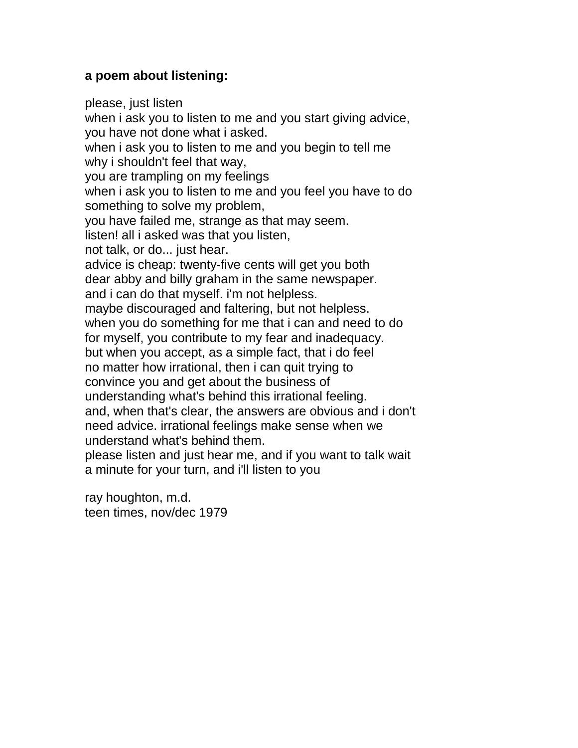# **a poem about listening:**

please, just listen when i ask you to listen to me and you start giving advice, you have not done what i asked. when i ask you to listen to me and you begin to tell me why i shouldn't feel that way, you are trampling on my feelings when i ask you to listen to me and you feel you have to do something to solve my problem, you have failed me, strange as that may seem. listen! all i asked was that you listen, not talk, or do... just hear. advice is cheap: twenty-five cents will get you both dear abby and billy graham in the same newspaper. and i can do that myself. i'm not helpless. maybe discouraged and faltering, but not helpless. when you do something for me that i can and need to do for myself, you contribute to my fear and inadequacy. but when you accept, as a simple fact, that i do feel no matter how irrational, then i can quit trying to convince you and get about the business of understanding what's behind this irrational feeling. and, when that's clear, the answers are obvious and i don't need advice. irrational feelings make sense when we understand what's behind them. please listen and just hear me, and if you want to talk wait a minute for your turn, and i'll listen to you

ray houghton, m.d. teen times, nov/dec 1979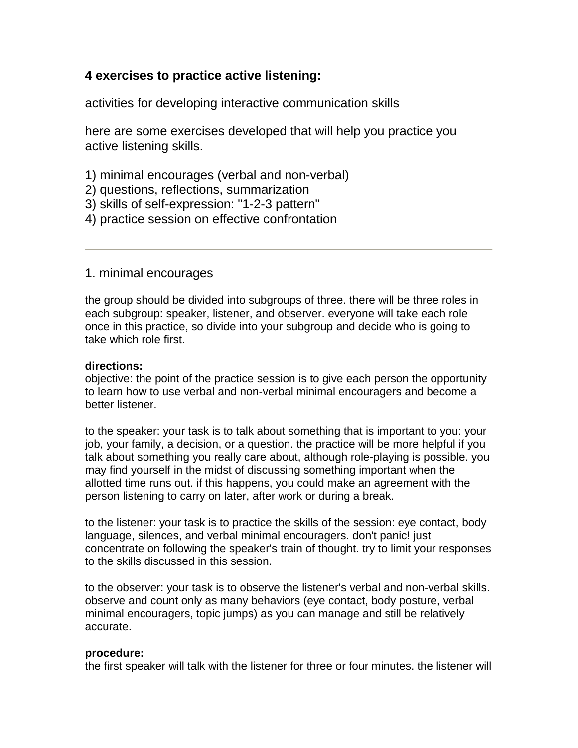# **4 exercises to practice active listening:**

activities for developing interactive communication skills

here are some exercises developed that will help you practice you active listening skills.

- 1) minimal encourages (verbal and non-verbal)
- 2) questions, reflections, summarization
- 3) skills of self-expression: "1-2-3 pattern"
- 4) practice session on effective confrontation

1. minimal encourages

the group should be divided into subgroups of three. there will be three roles in each subgroup: speaker, listener, and observer. everyone will take each role once in this practice, so divide into your subgroup and decide who is going to take which role first.

### **directions:**

objective: the point of the practice session is to give each person the opportunity to learn how to use verbal and non-verbal minimal encouragers and become a better listener.

to the speaker: your task is to talk about something that is important to you: your job, your family, a decision, or a question. the practice will be more helpful if you talk about something you really care about, although role-playing is possible. you may find yourself in the midst of discussing something important when the allotted time runs out. if this happens, you could make an agreement with the person listening to carry on later, after work or during a break.

to the listener: your task is to practice the skills of the session: eye contact, body language, silences, and verbal minimal encouragers. don't panic! just concentrate on following the speaker's train of thought. try to limit your responses to the skills discussed in this session.

to the observer: your task is to observe the listener's verbal and non-verbal skills. observe and count only as many behaviors (eye contact, body posture, verbal minimal encouragers, topic jumps) as you can manage and still be relatively accurate.

### **procedure:**

the first speaker will talk with the listener for three or four minutes. the listener will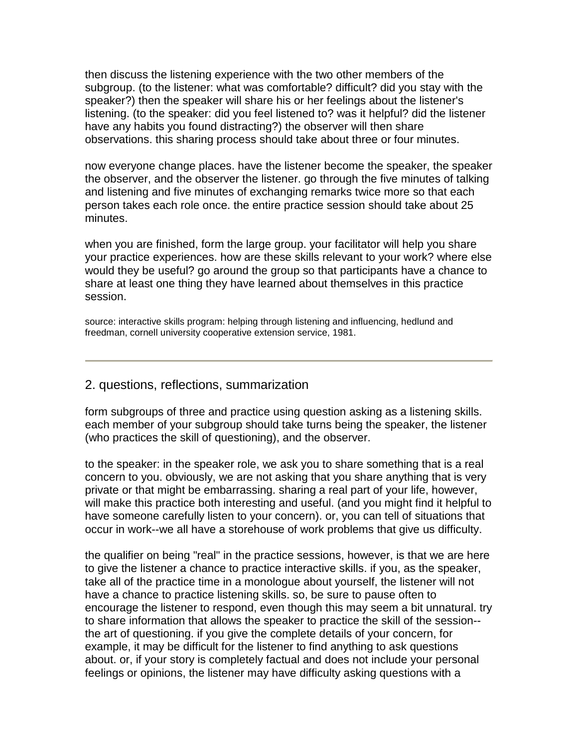then discuss the listening experience with the two other members of the subgroup. (to the listener: what was comfortable? difficult? did you stay with the speaker?) then the speaker will share his or her feelings about the listener's listening. (to the speaker: did you feel listened to? was it helpful? did the listener have any habits you found distracting?) the observer will then share observations. this sharing process should take about three or four minutes.

now everyone change places. have the listener become the speaker, the speaker the observer, and the observer the listener. go through the five minutes of talking and listening and five minutes of exchanging remarks twice more so that each person takes each role once. the entire practice session should take about 25 minutes.

when you are finished, form the large group. your facilitator will help you share your practice experiences. how are these skills relevant to your work? where else would they be useful? go around the group so that participants have a chance to share at least one thing they have learned about themselves in this practice session.

source: interactive skills program: helping through listening and influencing, hedlund and freedman, cornell university cooperative extension service, 1981.

### 2. questions, reflections, summarization

form subgroups of three and practice using question asking as a listening skills. each member of your subgroup should take turns being the speaker, the listener (who practices the skill of questioning), and the observer.

to the speaker: in the speaker role, we ask you to share something that is a real concern to you. obviously, we are not asking that you share anything that is very private or that might be embarrassing. sharing a real part of your life, however, will make this practice both interesting and useful. (and you might find it helpful to have someone carefully listen to your concern). or, you can tell of situations that occur in work--we all have a storehouse of work problems that give us difficulty.

the qualifier on being "real" in the practice sessions, however, is that we are here to give the listener a chance to practice interactive skills. if you, as the speaker, take all of the practice time in a monologue about yourself, the listener will not have a chance to practice listening skills. so, be sure to pause often to encourage the listener to respond, even though this may seem a bit unnatural. try to share information that allows the speaker to practice the skill of the session- the art of questioning. if you give the complete details of your concern, for example, it may be difficult for the listener to find anything to ask questions about. or, if your story is completely factual and does not include your personal feelings or opinions, the listener may have difficulty asking questions with a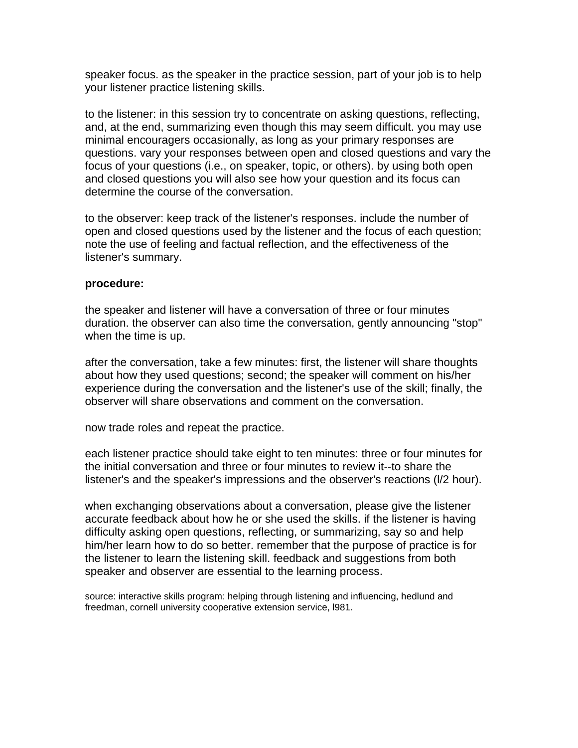speaker focus. as the speaker in the practice session, part of your job is to help your listener practice listening skills.

to the listener: in this session try to concentrate on asking questions, reflecting, and, at the end, summarizing even though this may seem difficult. you may use minimal encouragers occasionally, as long as your primary responses are questions. vary your responses between open and closed questions and vary the focus of your questions (i.e., on speaker, topic, or others). by using both open and closed questions you will also see how your question and its focus can determine the course of the conversation.

to the observer: keep track of the listener's responses. include the number of open and closed questions used by the listener and the focus of each question; note the use of feeling and factual reflection, and the effectiveness of the listener's summary.

#### **procedure:**

the speaker and listener will have a conversation of three or four minutes duration. the observer can also time the conversation, gently announcing "stop" when the time is up.

after the conversation, take a few minutes: first, the listener will share thoughts about how they used questions; second; the speaker will comment on his/her experience during the conversation and the listener's use of the skill; finally, the observer will share observations and comment on the conversation.

now trade roles and repeat the practice.

each listener practice should take eight to ten minutes: three or four minutes for the initial conversation and three or four minutes to review it--to share the listener's and the speaker's impressions and the observer's reactions (l/2 hour).

when exchanging observations about a conversation, please give the listener accurate feedback about how he or she used the skills. if the listener is having difficulty asking open questions, reflecting, or summarizing, say so and help him/her learn how to do so better. remember that the purpose of practice is for the listener to learn the listening skill. feedback and suggestions from both speaker and observer are essential to the learning process.

source: interactive skills program: helping through listening and influencing, hedlund and freedman, cornell university cooperative extension service, l981.